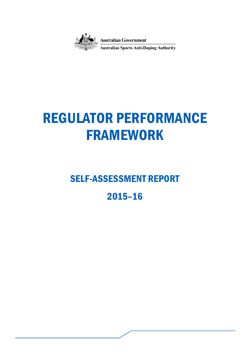

**Australian Government** 

**Australian Sports Anti-Doping Authority** 

# REGULATOR PERFORMANCE FRAMEWORK

# SELF-ASSESSMENT REPORT

# 2015–16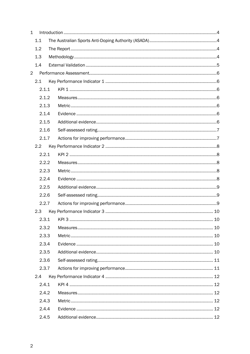| $\mathbf{1}$   |                         |  |  |  |  |  |
|----------------|-------------------------|--|--|--|--|--|
|                | 1.1                     |  |  |  |  |  |
|                | 1.2                     |  |  |  |  |  |
|                | 1.3                     |  |  |  |  |  |
|                | 1.4                     |  |  |  |  |  |
| $\overline{2}$ |                         |  |  |  |  |  |
|                | 2.1                     |  |  |  |  |  |
|                | 2.1.1                   |  |  |  |  |  |
|                | 2.1.2<br>2.1.3<br>2.1.4 |  |  |  |  |  |
|                |                         |  |  |  |  |  |
|                |                         |  |  |  |  |  |
|                | 2.1.5                   |  |  |  |  |  |
|                | 2.1.6                   |  |  |  |  |  |
|                | 2.1.7                   |  |  |  |  |  |
|                | 2.2                     |  |  |  |  |  |
|                | 2.2.1                   |  |  |  |  |  |
|                | 2.2.2                   |  |  |  |  |  |
|                | 2.2.3                   |  |  |  |  |  |
|                | 2.2.4                   |  |  |  |  |  |
|                | 2.2.5                   |  |  |  |  |  |
|                | 2.2.6                   |  |  |  |  |  |
|                | 2.2.7                   |  |  |  |  |  |
|                | 2.3                     |  |  |  |  |  |
|                | 2.3.1                   |  |  |  |  |  |
|                | 2.3.2                   |  |  |  |  |  |
|                | 2.3.3                   |  |  |  |  |  |
|                | 2.3.4                   |  |  |  |  |  |
|                | 2.3.5                   |  |  |  |  |  |
|                | 2.3.6                   |  |  |  |  |  |
|                | 2.3.7                   |  |  |  |  |  |
|                | 2.4                     |  |  |  |  |  |
|                | 2.4.1                   |  |  |  |  |  |
|                | 2.4.2                   |  |  |  |  |  |
|                | 2.4.3                   |  |  |  |  |  |
|                | 2.4.4                   |  |  |  |  |  |
|                | 2.4.5                   |  |  |  |  |  |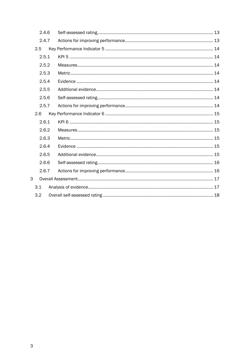| 2.4.6 |  |  |
|-------|--|--|
| 2.4.7 |  |  |
| 2.5   |  |  |
| 2.5.1 |  |  |
| 2.5.2 |  |  |
| 2.5.3 |  |  |
| 2.5.4 |  |  |
| 2.5.5 |  |  |
| 2.5.6 |  |  |
| 2.5.7 |  |  |
| 2.6   |  |  |
| 2.6.1 |  |  |
| 2.6.2 |  |  |
| 2.6.3 |  |  |
| 2.6.4 |  |  |
| 2.6.5 |  |  |
| 2.6.6 |  |  |
| 2.6.7 |  |  |
| 3     |  |  |
| 3.1   |  |  |
| 3.2   |  |  |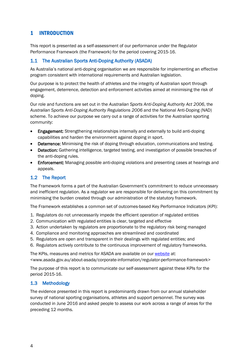# <span id="page-3-0"></span>1 INTRODUCTION

This report is presented as a self-assessment of our performance under the Regulator Performance Framework (the Framework) for the period covering 2015-16.

# <span id="page-3-1"></span>1.1 The Australian Sports Anti-Doping Authority (ASADA)

As Australia's national anti-doping organisation we are responsible for implementing an effective program consistent with international requirements and Australian legislation.

Our purpose is to protect the health of athletes and the integrity of Australian sport through engagement, deterrence, detection and enforcement activities aimed at minimising the risk of doping.

Our role and functions are set out in the *Australian Sports Anti-Doping Authority Act 2006*, the *Australian Sports Anti-Doping Authority Regulations 2006* and the National Anti-Doping (NAD) scheme. To achieve our purpose we carry out a range of activities for the Australian sporting community:

- Engagement: Strengthening relationships internally and externally to build anti-doping capabilities and harden the environment against doping in sport.
- Deterrence: Minimising the risk of doping through education, communications and testing.
- Detection: Gathering intelligence, targeted testing, and investigation of possible breaches of the anti-doping rules.
- Enforcement: Managing possible anti-doping violations and presenting cases at hearings and appeals.

# <span id="page-3-2"></span>1.2 The Report

The Framework forms a part of the Australian Government's commitment to reduce unnecessary and inefficient regulation. As a regulator we are responsible for delivering on this commitment by minimising the burden created through our administration of the statutory framework.

The Framework establishes a common set of outcomes-based Key Performance Indicators (KPI):

- 1. Regulators do not unnecessarily impede the efficient operation of regulated entities
- 2. Communication with regulated entities is clear, targeted and effective
- 3. Action undertaken by regulators are proportionate to the regulatory risk being managed
- 4. Compliance and monitoring approaches are streamlined and coordinated
- 5. Regulators are open and transparent in their dealings with regulated entities; and
- 6. Regulators actively contribute to the continuous improvement of regulatory frameworks.

The KPIs, measures and metrics for ASADA are available on our [website](http://www.asada.gov.au/about-asada/corporate-information/regulator-performance-framework) at:

<www.asada.gov.au/about-asada/corporate-information/regulator-performance-framework>

The purpose of this report is to communicate our self-assessment against these KPIs for the period 2015-16.

# <span id="page-3-3"></span>1.3 Methodology

The evidence presented in this report is predominantly drawn from our annual stakeholder survey of national sporting organisations, athletes and support personnel. The survey was conducted in June 2016 and asked people to assess our work across a range of areas for the preceding 12 months.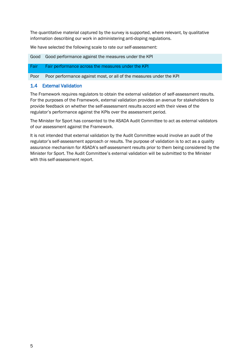The quantitative material captured by the survey is supported, where relevant, by qualitative information describing our work in administering anti-doping regulations.

We have selected the following scale to rate our self-assessment:

Good Good performance against the measures under the KPI

Fair Fair performance across the measures under the KPI

Poor Poor performance against most, or all of the measures under the KPI

## <span id="page-4-0"></span>1.4 External Validation

The Framework requires regulators to obtain the external validation of self-assessment results. For the purposes of the Framework, external validation provides an avenue for stakeholders to provide feedback on whether the self-assessment results accord with their views of the regulator's performance against the KPIs over the assessment period.

The Minister for Sport has consented to the ASADA Audit Committee to act as external validators of our assessment against the Framework.

It is not intended that external validation by the Audit Committee would involve an audit of the regulator's self-assessment approach or results. The purpose of validation is to act as a quality assurance mechanism for ASADA's self-assessment results prior to them being considered by the Minister for Sport. The Audit Committee's external validation will be submitted to the Minister with this self-assessment report.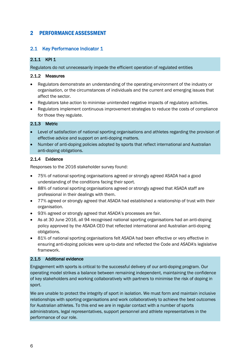# <span id="page-5-0"></span>2 PERFORMANCE ASSESSMENT

# <span id="page-5-1"></span>2.1 Key Performance Indicator 1

#### <span id="page-5-2"></span>2.1.1 KPI 1

Regulators do not unnecessarily impede the efficient operation of regulated entities

#### <span id="page-5-3"></span>2.1.2 Measures

- Regulators demonstrate an understanding of the operating environment of the industry or organisation, or the circumstances of individuals and the current and emerging issues that affect the sector.
- Regulators take action to minimise unintended negative impacts of regulatory activities.
- Regulators implement continuous improvement strategies to reduce the costs of compliance for those they regulate.

#### <span id="page-5-4"></span>2.1.3 Metric

- Level of satisfaction of national sporting organisations and athletes regarding the provision of effective advice and support on anti-doping matters.
- Number of anti-doping policies adopted by sports that reflect international and Australian anti-doping obligations.

#### <span id="page-5-5"></span>2.1.4 Evidence

Responses to the 2016 stakeholder survey found:

- 75% of national sporting organisations agreed or strongly agreed ASADA had a good understanding of the conditions facing their sport.
- 88% of national sporting organisations agreed or strongly agreed that ASADA staff are professional in their dealings with them.
- 77% agreed or strongly agreed that ASADA had established a relationship of trust with their organisation.
- 93% agreed or strongly agreed that ASADA's processes are fair.
- As at 30 June 2016, all 94 recognised national sporting organisations had an anti-doping policy approved by the ASADA CEO that reflected international and Australian anti-doping obligations.
- 81% of national sporting organisations felt ASADA had been effective or very effective in ensuring anti-doping policies were up-to-date and reflected the Code and ASADA's legislative framework.

#### <span id="page-5-6"></span>2.1.5 Additional evidence

Engagement with sports is critical to the successful delivery of our anti-doping program. Our operating model strikes a balance between remaining independent, maintaining the confidence of key stakeholders and working collaboratively with partners to minimise the risk of doping in sport.

We are unable to protect the integrity of sport in isolation. We must form and maintain inclusive relationships with sporting organisations and work collaboratively to achieve the best outcomes for Australian athletes. To this end we are in regular contact with a number of sports administrators, legal representatives, support personnel and athlete representatives in the performance of our role.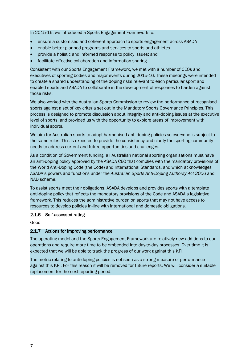In 2015-16, we introduced a Sports Engagement Framework to:

- ensure a customised and coherent approach to sports engagement across ASADA
- enable better-planned programs and services to sports and athletes
- provide a holistic and informed response to policy issues; and
- facilitate effective collaboration and information sharing.

Consistent with our Sports Engagement Framework, we met with a number of CEOs and executives of sporting bodies and major events during 2015-16. These meetings were intended to create a shared understanding of the doping risks relevant to each particular sport and enabled sports and ASADA to collaborate in the development of responses to harden against those risks.

We also worked with the Australian Sports Commission to review the performance of recognised sports against a set of key criteria set out in the Mandatory Sports Governance Principles. This process is designed to promote discussion about integrity and anti-doping issues at the executive level of sports, and provided us with the opportunity to explore areas of improvement with individual sports.

We aim for Australian sports to adopt harmonised anti-doping policies so everyone is subject to the same rules. This is expected to provide the consistency and clarity the sporting community needs to address current and future opportunities and challenges.

As a condition of Government funding, all Australian national sporting organisations must have an anti-doping policy approved by the ASADA CEO that complies with the mandatory provisions of the World Anti-Doping Code (the Code) and International Standards, and which acknowledges ASADA's powers and functions under the *Australian Sports Anti-Doping Authority Act 2006* and NAD scheme.

To assist sports meet their obligations, ASADA develops and provides sports with a template anti-doping policy that reflects the mandatory provisions of the Code and ASADA's legislative framework. This reduces the administrative burden on sports that may not have access to resources to develop policies in-line with international and domestic obligations.

#### <span id="page-6-0"></span>2.1.6 Self-assessed rating

Good

#### <span id="page-6-1"></span>2.1.7 Actions for improving performance

The operating model and the Sports Engagement Framework are relatively new additions to our operations and require more time to be embedded into day-to-day processes. Over time it is expected that we will be able to track the progress of our work against this KPI.

The metric relating to anti-doping policies is not seen as a strong measure of performance against this KPI. For this reason it will be removed for future reports. We will consider a suitable replacement for the next reporting period.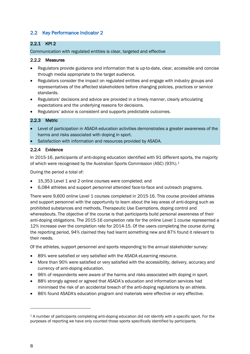# <span id="page-7-0"></span>2.2 Key Performance Indicator 2

# <span id="page-7-1"></span>2.2.1 KPI 2

Communication with regulated entities is clear, targeted and effective

#### <span id="page-7-2"></span>2.2.2 Measures

- Regulators provide guidance and information that is up-to-date, clear, accessible and concise through media appropriate to the target audience.
- Regulators consider the impact on regulated entities and engage with industry groups and representatives of the affected stakeholders before changing policies, practices or service standards.
- Regulators' decisions and advice are provided in a timely manner, clearly articulating expectations and the underlying reasons for decisions.
- Regulators' advice is consistent and supports predictable outcomes.

#### <span id="page-7-3"></span>2.2.3 Metric

- Level of participation in ASADA education activities demonstrates a greater awareness of the harms and risks associated with doping in sport.
- Satisfaction with information and resources provided by ASADA.

#### <span id="page-7-4"></span>2.2.4 Evidence

In 2015-16, participants of anti-doping education identified with 91 different sports, the majority of which were recognised by the Australian Sports Commission (ASC) (93%).[1](#page-7-5)

During the period a total of:

- 15,353 Level 1 and 2 online courses were completed; and
- 6,084 athletes and support personnel attended face-to-face and outreach programs.

There were 9,600 online Level 1 courses completed in 2015-16. This course provided athletes and support personnel with the opportunity to learn about the key areas of anti-doping such as prohibited substances and methods, Therapeutic Use Exemptions, doping control and whereabouts. The objective of the course is that participants build personal awareness of their anti-doping obligations. The 2015-16 completion rate for the online Level 1 course represented a 12% increase over the completion rate for 2014-15. Of the users completing the course during the reporting period, 94% claimed they had learnt something new and 87% found it relevant to their needs.

Of the athletes, support personnel and sports responding to the annual stakeholder survey:

- 89% were satisfied or very satisfied with the ASADA eLearning resource.
- More than 90% were satisfied or very satisfied with the accessibility, delivery, accuracy and currency of anti-doping education.
- 96% of respondents were aware of the harms and risks associated with doping in sport.
- 88% strongly agreed or agreed that ASADA's education and information services had minimised the risk of an accidental breach of the anti-doping regulations by an athlete.
- 86% found ASADA's education program and materials were effective or very effective.

-

<span id="page-7-5"></span><sup>1</sup> A number of participants completing anti-doping education did not identify with a specific sport. For the purposes of reporting we have only counted those sports specifically identified by participants.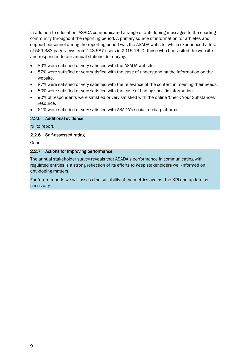In addition to education, ASADA communicated a range of anti-doping messages to the sporting community throughout the reporting period. A primary source of information for athletes and support personnel during the reporting period was the ASADA website, which experienced a total of 569,383 page views from 143,587 users in 2015-16. Of those who had visited the website and responded to our annual stakeholder survey:

- 89% were satisfied or very satisfied with the ASADA website.
- 87% were satisfied or very satisfied with the ease of understanding the information on the website.
- 87% were satisfied or very satisfied with the relevance of the content in meeting their needs.
- 80% were satisfied or very satisfied with the ease of finding specific information.
- 90% of respondents were satisfied or very satisfied with the online 'Check Your Substances' resource.
- 61% were satisfied or very satisfied with ASADA's social media platforms.

#### <span id="page-8-0"></span>2.2.5 Additional evidence

Nil to report.

#### <span id="page-8-1"></span>2.2.6 Self-assessed rating

Good

#### <span id="page-8-2"></span>2.2.7 Actions for improving performance

The annual stakeholder survey reveals that ASADA's performance in communicating with regulated entities is a strong reflection of its efforts to keep stakeholders well-informed on anti-doping matters.

For future reports we will assess the suitability of the metrics against the KPI and update as necessary.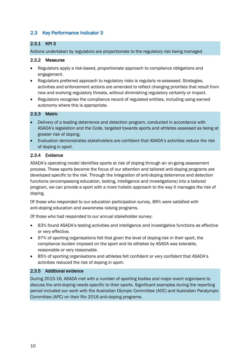# <span id="page-9-0"></span>2.3 Key Performance Indicator 3

## <span id="page-9-1"></span>2.3.1 KPI 3

Actions undertaken by regulators are proportionate to the regulatory risk being managed

#### <span id="page-9-2"></span>2.3.2 Measures

- Regulators apply a risk-based, proportionate approach to compliance obligations and engagement.
- Regulators preferred approach to regulatory risks is regularly re-assessed. Strategies, activities and enforcement actions are amended to reflect changing priorities that result from new and evolving regulatory threats, without diminishing regulatory certainty or impact.
- Regulators recognise the compliance record of regulated entities, including using earned autonomy where this is appropriate.

#### <span id="page-9-3"></span>2.3.3 Metric

- Delivery of a leading deterrence and detection program, conducted in accordance with ASADA's legislation and the Code, targeted towards sports and athletes assessed as being at greater risk of doping.
- Evaluation demonstrates stakeholders are confident that ASADA's activities reduce the risk of doping in sport.

#### <span id="page-9-4"></span>2.3.4 Evidence

ASADA's operating model identifies sports at risk of doping through an on-going assessment process. These sports become the focus of our attention and tailored anti-doping programs are developed specific to the risk. Through the integration of anti-doping deterrence and detection functions (encompassing education, testing, intelligence and investigations) into a tailored program, we can provide a sport with a more holistic approach to the way it manages the risk of doping.

Of those who responded to our education participation survey, 89% were satisfied with anti-doping education and awareness raising programs.

Of those who had responded to our annual stakeholder survey:

- 83% found ASADA's testing activities and intelligence and investigative functions as effective or very effective.
- 97% of sporting organisations felt that given the level of doping-risk in their sport, the compliance burden imposed on the sport and its athletes by ASADA was tolerable, reasonable or very reasonable.
- 85% of sporting organisations and athletes felt confident or very confident that ASADA's activities reduced the risk of doping in sport.

#### <span id="page-9-5"></span>2.3.5 Additional evidence

During 2015-16, ASADA met with a number of sporting bodies and major event organisers to discuss the anti-doping needs specific to their sports. Significant examples during the reporting period included our work with the Australian Olympic Committee (AOC) and Australian Paralympic Committee (APC) on their Rio 2016 anti-doping programs.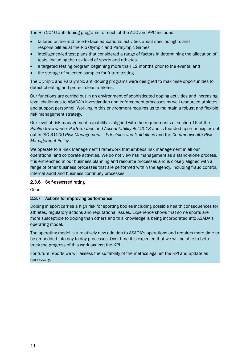The Rio 2016 anti-doping programs for each of the AOC and APC included:

- tailored online and face-to-face educational activities about specific rights and responsibilities at the Rio Olympic and Paralympic Games
- intelligence-led test plans that considered a range of factors in determining the allocation of tests, including the risk level of sports and athletes
- a targeted testing program beginning more than 12 months prior to the events; and
- the storage of selected samples for future testing.

The Olympic and Paralympic anti-doping programs were designed to maximise opportunities to detect cheating and protect clean athletes.

Our functions are carried out in an environment of sophisticated doping activities and increasing legal challenges to ASADA's investigation and enforcement processes by well-resourced athletes and support personnel. Working in this environment requires us to maintain a robust and flexible risk management strategy.

Our level of risk management capability is aligned with the requirements of section 16 of the *Public Governance, Performance and Accountability Act 2013* and is founded upon principles set out in *ISO 31000 Risk Management – Principles and Guidelines* and the *Commonwealth Risk Management Policy*.

We operate to a Risk Management Framework that embeds risk management in all our operational and corporate activities. We do not view risk management as a stand-alone process. It is entrenched in our business planning and resource processes and is closely aligned with a range of other business processes that are performed within the agency, including fraud control, internal audit and business continuity processes.

#### <span id="page-10-0"></span>2.3.6 Self-assessed rating

Good

#### <span id="page-10-1"></span>2.3.7 Actions for improving performance

Doping in sport carries a high risk for sporting bodies including possible health consequences for athletes, regulatory actions and reputational issues. Experience shows that some sports are more susceptible to doping than others and this knowledge is being incorporated into ASADA's operating model.

The operating model is a relatively new addition to ASADA's operations and requires more time to be embedded into day-to-day processes. Over time it is expected that we will be able to better track the progress of this work against the KPI.

For future reports we will assess the suitability of the metrics against the KPI and update as necessary.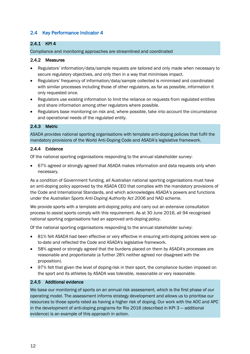# <span id="page-11-0"></span>2.4 Key Performance Indicator 4

# <span id="page-11-1"></span>2.4.1 KPI 4

Compliance and monitoring approaches are streamlined and coordinated

#### <span id="page-11-2"></span>2.4.2 Measures

- Regulators' information/data/sample requests are tailored and only made when necessary to secure regulatory objectives, and only then in a way that minimises impact.
- Regulators' frequency of information/data/sample collected is minimised and coordinated with similar processes including those of other regulators, as far as possible, information it only requested once.
- Regulators use existing information to limit the reliance on requests from regulated entities and share information among other regulators where possible.
- Regulators base monitoring on risk and, where possible, take into account the circumstance and operational needs of the regulated entity.

#### <span id="page-11-3"></span>2.4.3 Metric

ASADA provides national sporting organisations with template anti-doping policies that fulfil the mandatory provisions of the World Anti-Doping Code and ASADA's legislative framework.

#### <span id="page-11-4"></span>2.4.4 Evidence

Of the national sporting organisations responding to the annual stakeholder survey:

• 67% agreed or strongly agreed that ASADA makes information and data requests only when necessary.

As a condition of Government funding, all Australian national sporting organisations must have an anti-doping policy approved by the ASADA CEO that complies with the mandatory provisions of the Code and International Standards, and which acknowledges ASADA's powers and functions under the *Australian Sports Anti-Doping Authority Act 2006* and NAD scheme.

We provide sports with a template anti-doping policy and carry out an extensive consultation process to assist sports comply with this requirement. As at 30 June 2016, all 94 recognised national sporting organisations had an approved anti-doping policy.

Of the national sporting organisations responding to the annual stakeholder survey:

- 81% felt ASADA had been effective or very effective in ensuring anti-doping policies were upto-date and reflected the Code and ASADA's legislative framework.
- 58% agreed or strongly agreed that the burdens placed on them by ASADA's processes are reasonable and proportionate (a further 28% neither agreed nor disagreed with the proposition).
- 97% felt that given the level of doping-risk in their sport, the compliance burden imposed on the sport and its athletes by ASADA was tolerable, reasonable or very reasonable.

#### <span id="page-11-5"></span>2.4.5 Additional evidence

We base our monitoring of sports on an annual risk assessment, which is the first phase of our operating model. The assessment informs strategy development and allows us to prioritise our resources to those sports rated as having a higher risk of doping. Our work with the AOC and APC in the development of anti-doping programs for Rio 2016 (described in KPI 3 — additional evidence) is an example of this approach in action.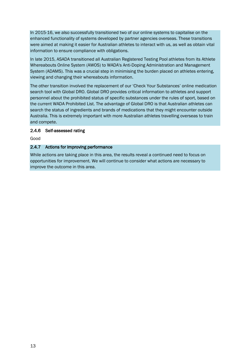In 2015-16, we also successfully transitioned two of our online systems to capitalise on the enhanced functionality of systems developed by partner agencies overseas. These transitions were aimed at making it easier for Australian athletes to interact with us, as well as obtain vital information to ensure compliance with obligations.

In late 2015, ASADA transitioned all Australian Registered Testing Pool athletes from its Athlete Whereabouts Online System (AWOS) to WADA's Anti-Doping Administration and Management System (ADAMS). This was a crucial step in minimising the burden placed on athletes entering, viewing and changing their whereabouts information.

The other transition involved the replacement of our 'Check Your Substances' online medication search tool with Global DRO. Global DRO provides critical information to athletes and support personnel about the prohibited status of specific substances under the rules of sport, based on the current WADA Prohibited List. The advantage of Global DRO is that Australian athletes can search the status of ingredients and brands of medications that they might encounter outside Australia. This is extremely important with more Australian athletes travelling overseas to train and compete.

#### <span id="page-12-0"></span>2.4.6 Self-assessed rating

Good

#### <span id="page-12-1"></span>2.4.7 Actions for improving performance

While actions are taking place in this area, the results reveal a continued need to focus on opportunities for improvement. We will continue to consider what actions are necessary to improve the outcome in this area.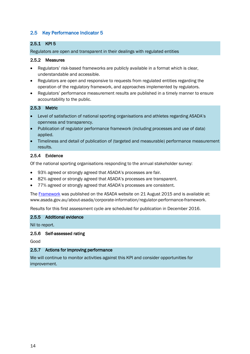# <span id="page-13-0"></span>2.5 Key Performance Indicator 5

## <span id="page-13-1"></span>2.5.1 KPI 5

Regulators are open and transparent in their dealings with regulated entities

#### <span id="page-13-2"></span>2.5.2 Measures

- Regulators' risk-based frameworks are publicly available in a format which is clear, understandable and accessible.
- Regulators are open and responsive to requests from regulated entities regarding the operation of the regulatory framework, and approaches implemented by regulators.
- Regulators' performance measurement results are published in a timely manner to ensure accountability to the public.

#### <span id="page-13-3"></span>2.5.3 Metric

- Level of satisfaction of national sporting organisations and athletes regarding ASADA's openness and transparency.
- Publication of regulator performance framework (including processes and use of data) applied.
- Timeliness and detail of publication of (targeted and measurable) performance measurement results.

#### <span id="page-13-4"></span>2.5.4 Evidence

Of the national sporting organisations responding to the annual stakeholder survey:

- 93% agreed or strongly agreed that ASADA's processes are fair.
- 82% agreed or strongly agreed that ASADA's processes are transparent.
- 77% agreed or strongly agreed that ASADA's processes are consistent.

The [Framework](http://www.asada.gov.au/about-asada/corporate-information/regulator-performance-framework) was published on the ASADA website on 21 August 2015 and is available at: www.asada.gov.au/about-asada/corporate-information/regulator-performance-framework.

Results for this first assessment cycle are scheduled for publication in December 2016.

#### <span id="page-13-5"></span>2.5.5 Additional evidence

Nil to report.

#### <span id="page-13-6"></span>2.5.6 Self-assessed rating

Good

#### <span id="page-13-7"></span>2.5.7 Actions for improving performance

We will continue to monitor activities against this KPI and consider opportunities for improvement.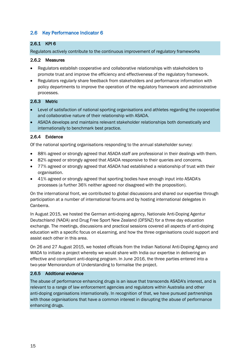# <span id="page-14-0"></span>2.6 Key Performance Indicator 6

# <span id="page-14-1"></span>2.6.1 KPI 6

Regulators actively contribute to the continuous improvement of regulatory frameworks

#### <span id="page-14-2"></span>2.6.2 Measures

- Regulators establish cooperative and collaborative relationships with stakeholders to promote trust and improve the efficiency and effectiveness of the regulatory framework.
- Regulators regularly share feedback from stakeholders and performance information with policy departments to improve the operation of the regulatory framework and administrative processes.

#### <span id="page-14-3"></span>2.6.3 Metric

- Level of satisfaction of national sporting organisations and athletes regarding the cooperative and collaborative nature of their relationship with ASADA.
- ASADA develops and maintains relevant stakeholder relationships both domestically and internationally to benchmark best practice.

#### <span id="page-14-4"></span>2.6.4 Evidence

Of the national sporting organisations responding to the annual stakeholder survey:

- 88% agreed or strongly agreed that ASADA staff are professional in their dealings with them.
- 82% agreed or strongly agreed that ASADA responsive to their queries and concerns.
- 77% agreed or strongly agreed that ASADA had established a relationship of trust with their organisation.
- 41% agreed or strongly agreed that sporting bodies have enough input into ASADA's processes (a further 36% neither agreed nor disagreed with the proposition).

On the international front, we contributed to global discussions and shared our expertise through participation at a number of international forums and by hosting international delegates in Canberra.

In August 2015, we hosted the German anti-doping agency, Nationale Anti-Doping Agentur Deutschland (NADA) and Drug Free Sport New Zealand (DFSNZ) for a three day education exchange. The meetings, discussions and practical sessions covered all aspects of anti-doping education with a specific focus on eLearning, and how the three organisations could support and assist each other in this area.

On 26 and 27 August 2015, we hosted officials from the Indian National Anti-Doping Agency and WADA to initiate a project whereby we would share with India our expertise in delivering an effective and compliant anti-doping program. In June 2016, the three parties entered into a two-year Memorandum of Understanding to formalise the project.

#### <span id="page-14-5"></span>2.6.5 Additional evidence

The abuse of performance enhancing drugs is an issue that transcends ASADA's interest, and is relevant to a range of law enforcement agencies and regulators within Australia and other anti-doping organisations internationally. In recognition of that, we have pursued partnerships with those organisations that have a common interest in disrupting the abuse of performance enhancing drugs.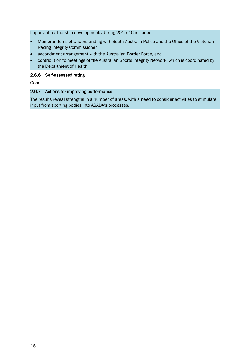Important partnership developments during 2015-16 included:

- Memorandums of Understanding with South Australia Police and the Office of the Victorian Racing Integrity Commissioner
- secondment arrangement with the Australian Border Force, and
- contribution to meetings of the Australian Sports Integrity Network, which is coordinated by the Department of Health.

#### <span id="page-15-0"></span>2.6.6 Self-assessed rating

Good

#### <span id="page-15-1"></span>2.6.7 Actions for improving performance

The results reveal strengths in a number of areas, with a need to consider activities to stimulate input from sporting bodies into ASADA's processes.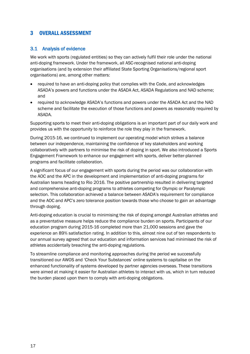# <span id="page-16-0"></span>3 OVERALL ASSESSMENT

#### <span id="page-16-1"></span>3.1 Analysis of evidence

We work with sports (regulated entities) so they can actively fulfil their role under the national anti-doping framework. Under the framework, all ASC-recognised national anti-doping organisations (and by extension their affiliated State Sporting Organisations/regional sport organisations) are, among other matters:

- required to have an anti-doping policy that complies with the Code, and acknowledges ASADA's powers and functions under the ASADA Act, ASADA Regulations and NAD scheme; and
- required to acknowledge ASADA's functions and powers under the ASADA Act and the NAD scheme and facilitate the execution of those functions and powers as reasonably required by ASADA.

Supporting sports to meet their anti-doping obligations is an important part of our daily work and provides us with the opportunity to reinforce the role they play in the framework.

During 2015-16, we continued to implement our operating model which strikes a balance between our independence, maintaining the confidence of key stakeholders and working collaboratively with partners to minimise the risk of doping in sport. We also introduced a Sports Engagement Framework to enhance our engagement with sports, deliver better-planned programs and facilitate collaboration.

A significant focus of our engagement with sports during the period was our collaboration with the AOC and the APC in the development and implementation of anti-doping programs for Australian teams heading to Rio 2016. The positive partnership resulted in delivering targeted and comprehensive anti-doping programs to athletes competing for Olympic or Paralympic selection. This collaboration achieved a balance between ASADA's requirement for compliance and the AOC and APC's zero tolerance position towards those who choose to gain an advantage through doping.

Anti-doping education is crucial to minimising the risk of doping amongst Australian athletes and as a preventative measure helps reduce the compliance burden on sports. Participants of our education program during 2015-16 completed more than 21,000 sessions and gave the experience an 89% satisfaction rating. In addition to this, almost nine out of ten respondents to our annual survey agreed that our education and information services had minimised the risk of athletes accidentally breaching the anti-doping regulations.

To streamline compliance and monitoring approaches during the period we successfully transitioned our AWOS and 'Check Your Substances' online systems to capitalise on the enhanced functionality of systems developed by partner agencies overseas. These transitions were aimed at making it easier for Australian athletes to interact with us, which in turn reduced the burden placed upon them to comply with anti-doping obligations.